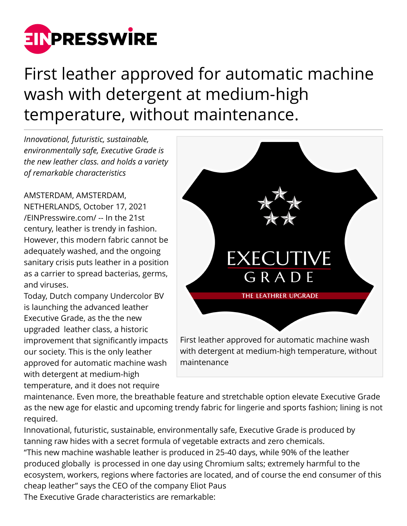

First leather approved for automatic machine wash with detergent at medium-high temperature, without maintenance.

*Innovational, futuristic, sustainable, environmentally safe, Executive Grade is the new leather class. and holds a variety of remarkable characteristics*

AMSTERDAM, AMSTERDAM, NETHERLANDS, October 17, 2021 [/EINPresswire.com/](http://www.einpresswire.com) -- In the 21st century, leather is trendy in fashion. However, this modern fabric cannot be adequately washed, and the ongoing sanitary crisis puts leather in a position as a carrier to spread bacterias, germs, and viruses.

Today, Dutch company Undercolor BV is launching the advanced leather Executive Grade, as the the new upgraded leather class, a historic improvement that significantly impacts our society. This is the only leather approved for automatic machine wash with detergent at medium-high temperature, and it does not require



maintenance. Even more, the breathable feature and stretchable option elevate Executive Grade as the new age for elastic and upcoming trendy fabric for lingerie and sports fashion; lining is not required.

Innovational, futuristic, sustainable, environmentally safe, Executive Grade is produced by tanning raw hides with a secret formula of vegetable extracts and zero chemicals. "This new machine washable leather is produced in 25-40 days, while 90% of the leather produced globally is processed in one day using Chromium salts; extremely harmful to the ecosystem, workers, regions where factories are located, and of course the end consumer of this cheap leather" says the CEO of the company Eliot Paus

The Executive Grade characteristics are remarkable: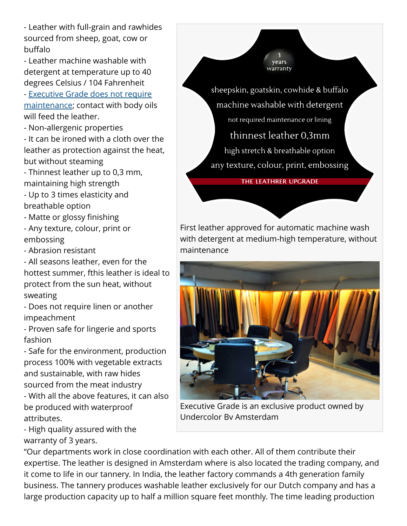- Leather with full-grain and rawhides sourced from sheep, goat, cow or buffalo

- Leather machine washable with detergent at temperature up to 40 degrees Celsius / 104 Fahrenheit

- [Executive Grade does not require](http://www.executive-grade.com) [maintenance](http://www.executive-grade.com); contact with body oils will feed the leather.

- Non-allergenic properties

- It can be ironed with a cloth over the leather as protection against the heat, but without steaming

- Thinnest leather up to 0,3 mm, maintaining high strength

- Up to 3 times elasticity and breathable option

- Matte or glossy finishing

- Any texture, colour, print or embossing

- Abrasion resistant

- All seasons leather, even for the hottest summer, fthis leather is ideal to protect from the sun heat, without sweating

- Does not require linen or another impeachment

- Proven safe for lingerie and sports fashion

- Safe for the environment, production process 100% with vegetable extracts and sustainable, with raw hides sourced from the meat industry

- With all the above features, it can also be produced with waterproof attributes.

- High quality assured with the warranty of 3 years.

sheepskin, goatskin, cowhide & buffalo machine washable with detergent not required maintenance or lining thinnest leather 0.3mm high stretch & breathable option any texture, colour, print, embossing

vears warranty

THE LEATHRER UPGRADE

First leather approved for automatic machine wash with detergent at medium-high temperature, without maintenance



Executive Grade is an exclusive product owned by Undercolor Bv Amsterdam

"Our departments work in close coordination with each other. All of them contribute their expertise. The leather is designed in Amsterdam where is also located the trading company, and it come to life in our tannery. In India, the leather factory commands a 4th generation family business. The tannery produces washable leather exclusively for our Dutch company and has a large production capacity up to half a million square feet monthly. The time leading production